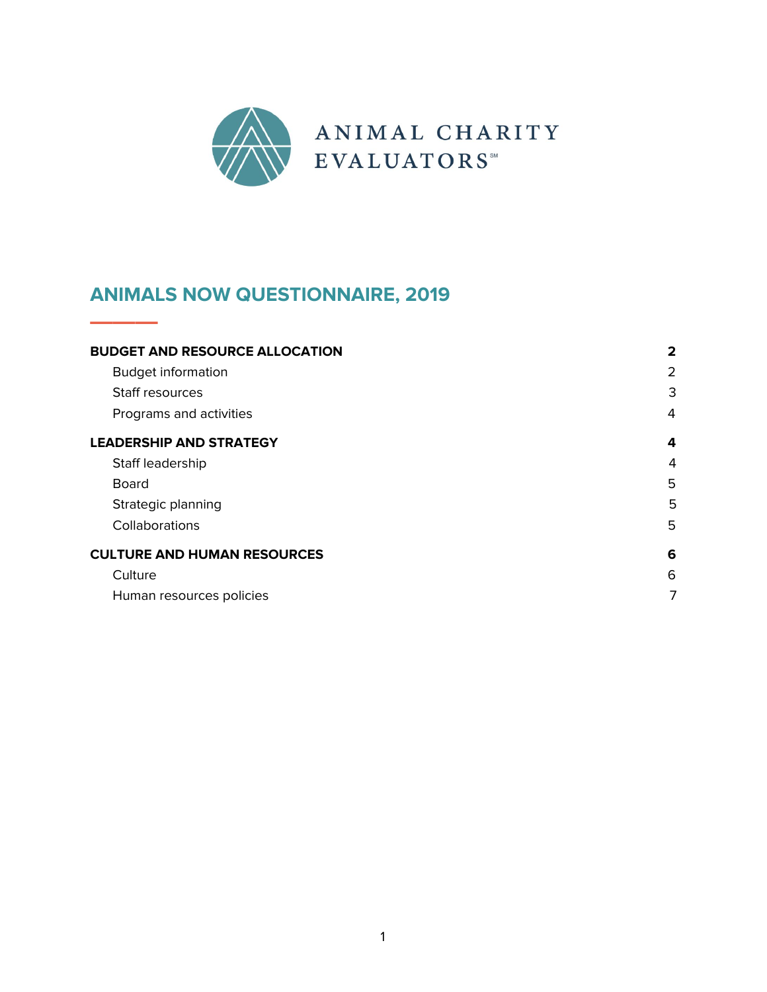

# **ANIMALS NOW QUESTIONNAIRE, 2019**

**———**

| <b>BUDGET AND RESOURCE ALLOCATION</b> | $\mathbf{2}$ |
|---------------------------------------|--------------|
| <b>Budget information</b>             | 2            |
| Staff resources                       | 3            |
| Programs and activities               | 4            |
| <b>LEADERSHIP AND STRATEGY</b>        | 4            |
| Staff leadership                      | 4            |
| <b>Board</b>                          | 5            |
| Strategic planning                    | 5            |
| Collaborations                        | 5            |
| <b>CULTURE AND HUMAN RESOURCES</b>    | 6            |
| Culture                               | 6            |
| Human resources policies              | 7            |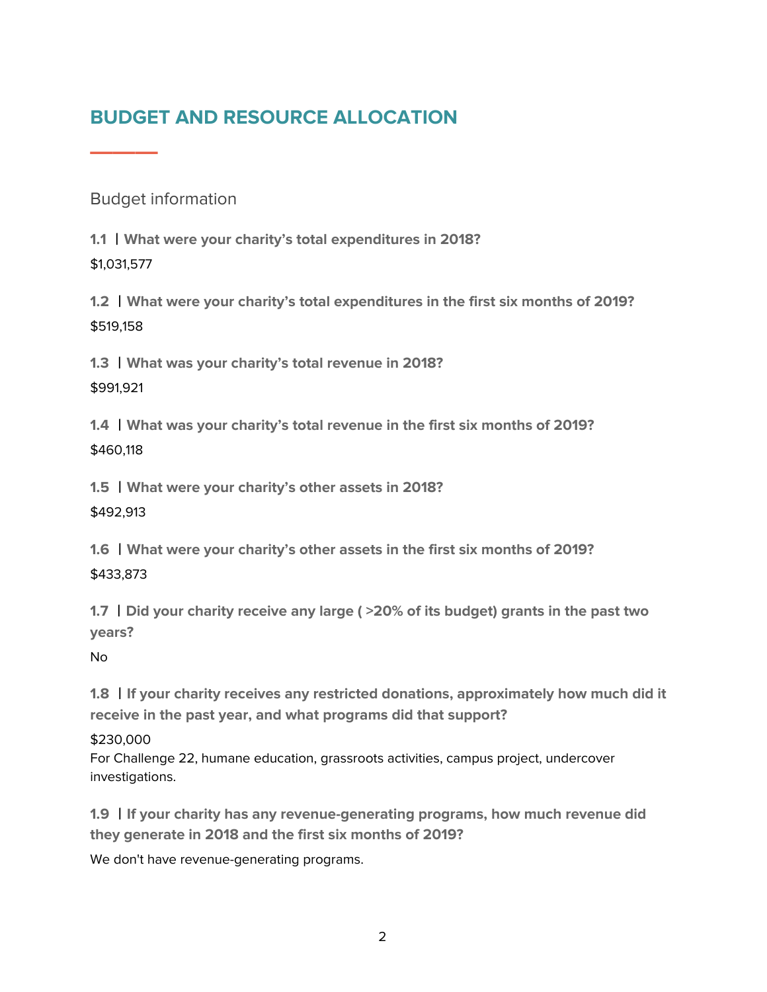# <span id="page-1-0"></span>**BUDGET AND RESOURCE ALLOCATION**

<span id="page-1-1"></span>Budget information

**———**

**1.1** 丨**What were your charity's total expenditures in 2018?** \$1,031,577

**1.2** 丨**What were your charity's total expenditures in the first six months of 2019?** \$519,158

**1.3** 丨**What was your charity's total revenue in 2018?** \$991,921

**1.4** 丨**What was your charity's total revenue in the first six months of 2019?** \$460,118

**1.5** 丨**What were your charity's other assets in 2018?** \$492,913

**1.6** 丨**What were your charity's other assets in the first six months of 2019?** \$433,873

**1.7** 丨**Did your charity receive any large ( >20% of its budget) grants in the past two years?**

No

**1.8** 丨**If your charity receives any restricted donations, approximately how much did it receive in the past year, and what programs did that support?**

#### \$230,000

For Challenge 22, humane education, grassroots activities, campus project, undercover investigations.

**1.9** 丨**If your charity has any revenue-generating programs, how much revenue did they generate in 2018 and the first six months of 2019?**

We don't have revenue-generating programs.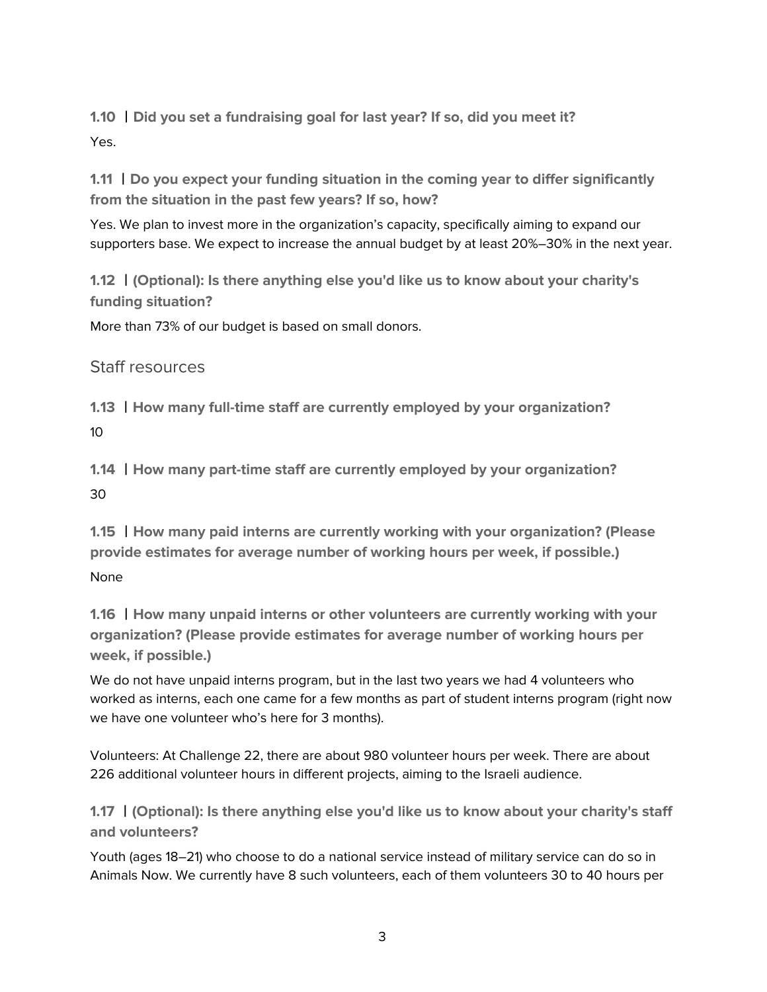**1.10** 丨**Did you set a fundraising goal for last year? If so, did you meet it?** Yes.

**1.11** 丨**Do you expect your funding situation in the coming year to differ significantly from the situation in the past few years? If so, how?**

Yes. We plan to invest more in the organization's capacity, specifically aiming to expand our supporters base. We expect to increase the annual budget by at least 20%–30% in the next year.

**1.12** 丨**(Optional): Is there anything else you'd like us to know about your charity's funding situation?**

<span id="page-2-0"></span>More than 73% of our budget is based on small donors.

Staff resources

**1.13** 丨**How many full-time staff are currently employed by your organization?** 10

**1.14** 丨**How many part-time staff are currently employed by your organization?** 30

**1.15** 丨**How many paid interns are currently working with your organization? (Please provide estimates for average number of working hours per week, if possible.)** None

**1.16** 丨**How many unpaid interns or other volunteers are currently working with your organization? (Please provide estimates for average number of working hours per week, if possible.)**

We do not have unpaid interns program, but in the last two years we had 4 volunteers who worked as interns, each one came for a few months as part of student interns program (right now we have one volunteer who's here for 3 months).

Volunteers: At Challenge 22, there are about 980 volunteer hours per week. There are about 226 additional volunteer hours in different projects, aiming to the Israeli audience.

**1.17** 丨**(Optional): Is there anything else you'd like us to know about your charity's staff and volunteers?**

Youth (ages 18–21) who choose to do a national service instead of military service can do so in Animals Now. We currently have 8 such volunteers, each of them volunteers 30 to 40 hours per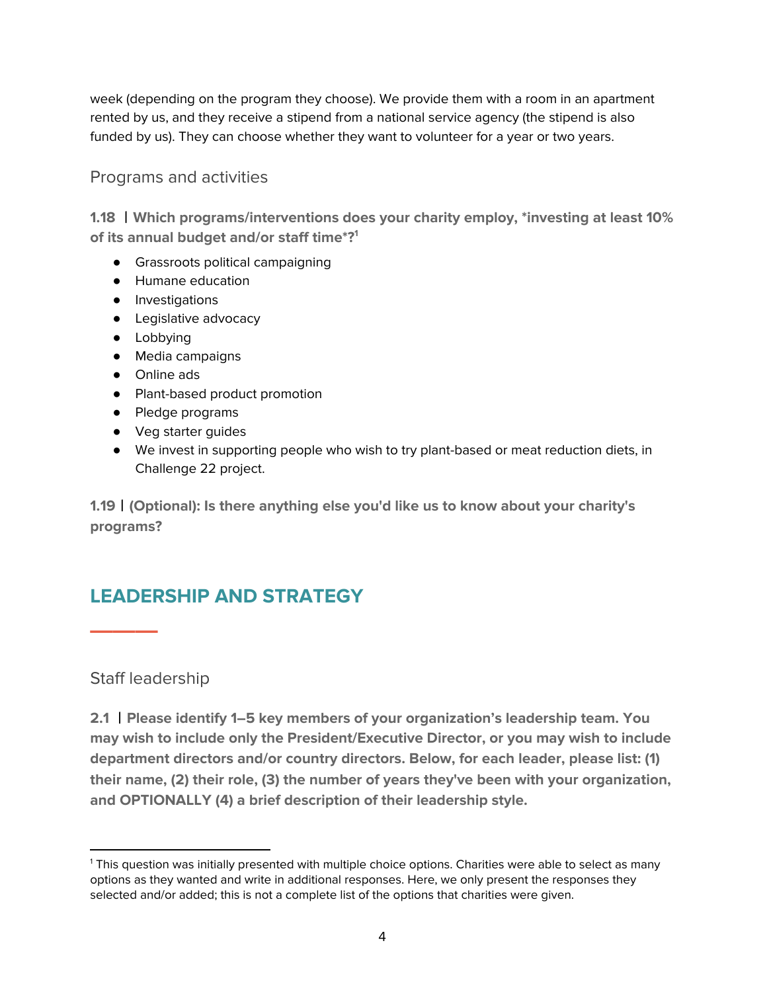week (depending on the program they choose). We provide them with a room in an apartment rented by us, and they receive a stipend from a national service agency (the stipend is also funded by us). They can choose whether they want to volunteer for a year or two years.

### <span id="page-3-0"></span>Programs and activities

**1.18** 丨**Which programs/interventions does your charity employ, \*investing at least 10% of its annual budget and/or staff time\*? 1**

- Grassroots political campaigning
- Humane education
- Investigations
- Legislative advocacy
- Lobbying
- Media campaigns
- Online ads
- Plant-based product promotion
- Pledge programs
- Veg starter guides
- We invest in supporting people who wish to try plant-based or meat reduction diets, in Challenge 22 project.

**1.19**丨**(Optional): Is there anything else you'd like us to know about your charity's programs?**

## <span id="page-3-1"></span>**LEADERSHIP AND STRATEGY**

<span id="page-3-2"></span>Staff leadership

**———**

**2.1** 丨**Please identify 1–5 key members of your organization's leadership team. You may wish to include only the President/Executive Director, or you may wish to include department directors and/or country directors. Below, for each leader, please list: (1) their name, (2) their role, (3) the number of years they've been with your organization, and OPTIONALLY (4) a brief description of their leadership style.**

<sup>1</sup> This question was initially presented with multiple choice options. Charities were able to select as many options as they wanted and write in additional responses. Here, we only present the responses they selected and/or added; this is not a complete list of the options that charities were given.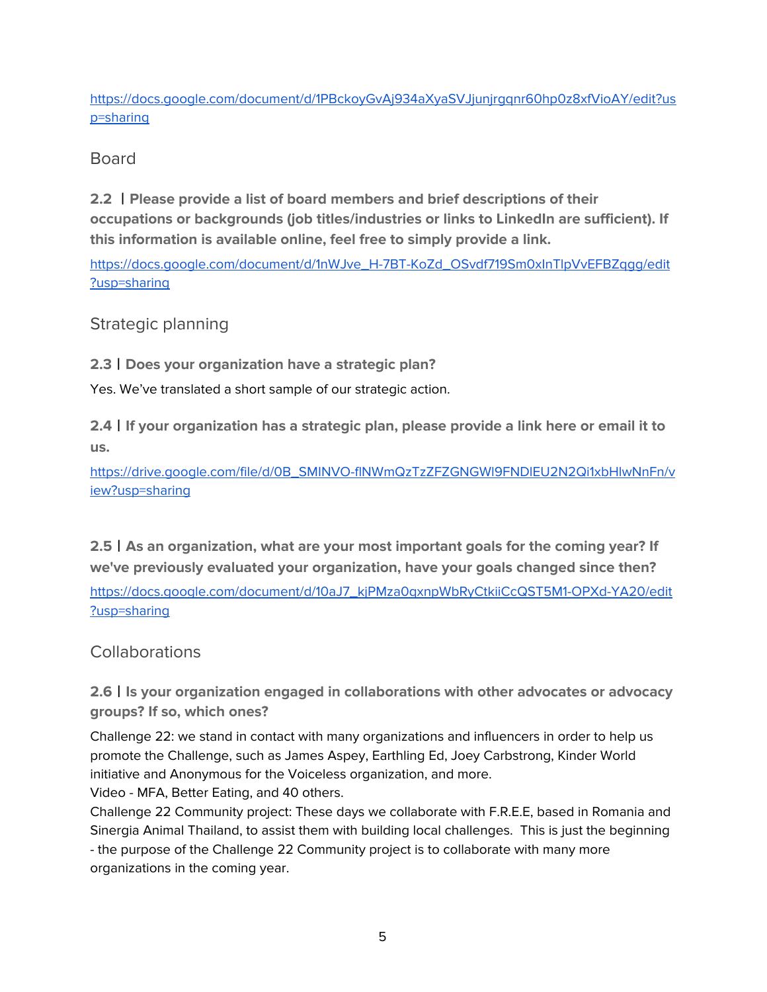[https://docs.google.com/document/d/1PBckoyGvAj934aXyaSVJjunjrgqnr60hp0z8xfVioAY/edit?us](https://docs.google.com/document/d/1PBckoyGvAj934aXyaSVJjunjrgqnr60hp0z8xfVioAY/edit?usp=sharing) [p=sharing](https://docs.google.com/document/d/1PBckoyGvAj934aXyaSVJjunjrgqnr60hp0z8xfVioAY/edit?usp=sharing)

<span id="page-4-0"></span>Board

**2.2** 丨**Please provide a list of board members and brief descriptions of their occupations or backgrounds (job titles/industries or links to LinkedIn are sufficient). If this information is available online, feel free to simply provide a link.**

[https://docs.google.com/document/d/1nWJve\\_H-7BT-KoZd\\_OSvdf719Sm0xInTlpVvEFBZqgg/edit](https://docs.google.com/document/d/1nWJve_H-7BT-KoZd_OSvdf719Sm0xInTlpVvEFBZqgg/edit?usp=sharing) [?usp=sharing](https://docs.google.com/document/d/1nWJve_H-7BT-KoZd_OSvdf719Sm0xInTlpVvEFBZqgg/edit?usp=sharing)

<span id="page-4-1"></span>Strategic planning

**2.3**丨**Does your organization have a strategic plan?**

Yes. We've translated a short sample of our strategic action.

**2.4**丨**If your organization has a strategic plan, please provide a link here or email it to us.**

[https://drive.google.com/file/d/0B\\_SMINVO-flNWmQzTzZFZGNGWl9FNDlEU2N2Qi1xbHlwNnFn/v](https://drive.google.com/file/d/0B_SMINVO-flNWmQzTzZFZGNGWl9FNDlEU2N2Qi1xbHlwNnFn/view?usp=sharing) [iew?usp=sharing](https://drive.google.com/file/d/0B_SMINVO-flNWmQzTzZFZGNGWl9FNDlEU2N2Qi1xbHlwNnFn/view?usp=sharing)

**2.5**丨**As an organization, what are your most important goals for the coming year? If we've previously evaluated your organization, have your goals changed since then?**

[https://docs.google.com/document/d/10aJ7\\_kjPMza0qxnpWbRyCtkiiCcQST5M1-OPXd-YA20/edit](https://docs.google.com/document/d/10aJ7_kjPMza0qxnpWbRyCtkiiCcQST5M1-OPXd-YA20/edit?usp=sharing) [?usp=sharing](https://docs.google.com/document/d/10aJ7_kjPMza0qxnpWbRyCtkiiCcQST5M1-OPXd-YA20/edit?usp=sharing)

### <span id="page-4-2"></span>Collaborations

**2.6**丨**Is your organization engaged in collaborations with other advocates or advocacy groups? If so, which ones?**

Challenge 22: we stand in contact with many organizations and influencers in order to help us promote the Challenge, such as James Aspey, Earthling Ed, Joey Carbstrong, Kinder World initiative and Anonymous for the Voiceless organization, and more.

Video - MFA, Better Eating, and 40 others.

Challenge 22 Community project: These days we collaborate with F.R.E.E, based in Romania and Sinergia Animal Thailand, to assist them with building local challenges. This is just the beginning - the purpose of the Challenge 22 Community project is to collaborate with many more organizations in the coming year.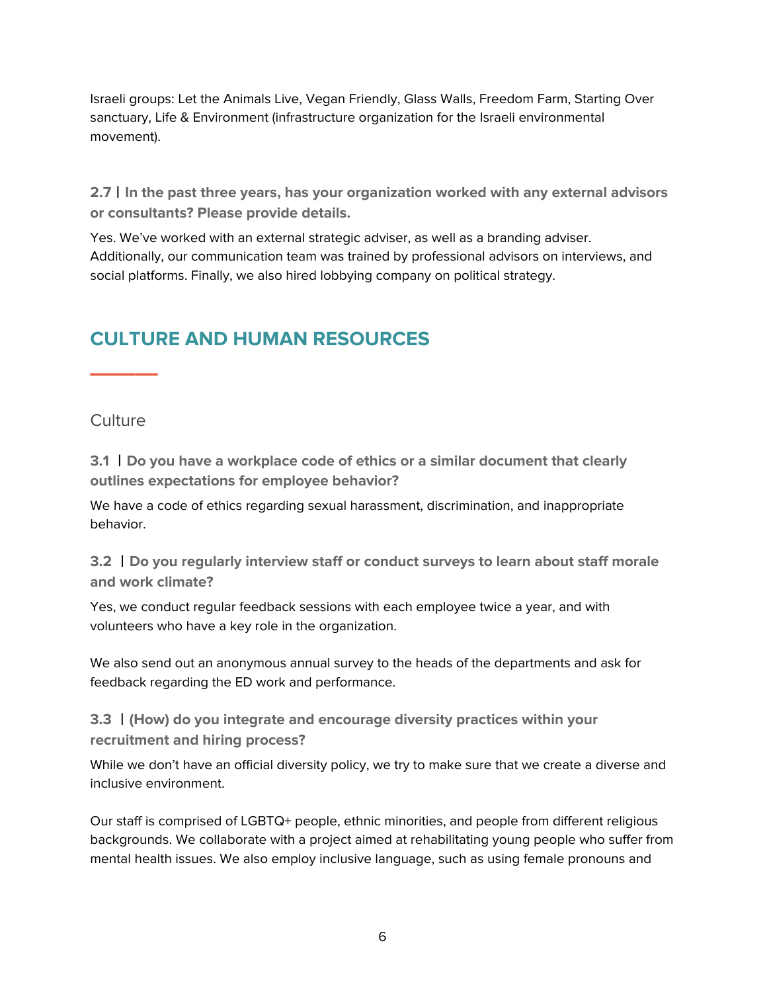Israeli groups: Let the Animals Live, Vegan Friendly, Glass Walls, Freedom Farm, Starting Over sanctuary, Life & Environment (infrastructure organization for the Israeli environmental movement).

**2.7**丨**In the past three years, has your organization worked with any external advisors or consultants? Please provide details.**

Yes. We've worked with an external strategic adviser, as well as a branding adviser. Additionally, our communication team was trained by professional advisors on interviews, and social platforms. Finally, we also hired lobbying company on political strategy.

# <span id="page-5-0"></span>**CULTURE AND HUMAN RESOURCES**

<span id="page-5-1"></span>**Culture** 

**———**

**3.1** 丨**Do you have a workplace code of ethics or a similar document that clearly outlines expectations for employee behavior?**

We have a code of ethics regarding sexual harassment, discrimination, and inappropriate behavior.

**3.2** 丨**Do you regularly interview staff or conduct surveys to learn about staff morale and work climate?**

Yes, we conduct regular feedback sessions with each employee twice a year, and with volunteers who have a key role in the organization.

We also send out an anonymous annual survey to the heads of the departments and ask for feedback regarding the ED work and performance.

**3.3** 丨**(How) do you integrate and encourage diversity practices within your recruitment and hiring process?**

While we don't have an official diversity policy, we try to make sure that we create a diverse and inclusive environment.

Our staff is comprised of LGBTQ+ people, ethnic minorities, and people from different religious backgrounds. We collaborate with a project aimed at rehabilitating young people who suffer from mental health issues. We also employ inclusive language, such as using female pronouns and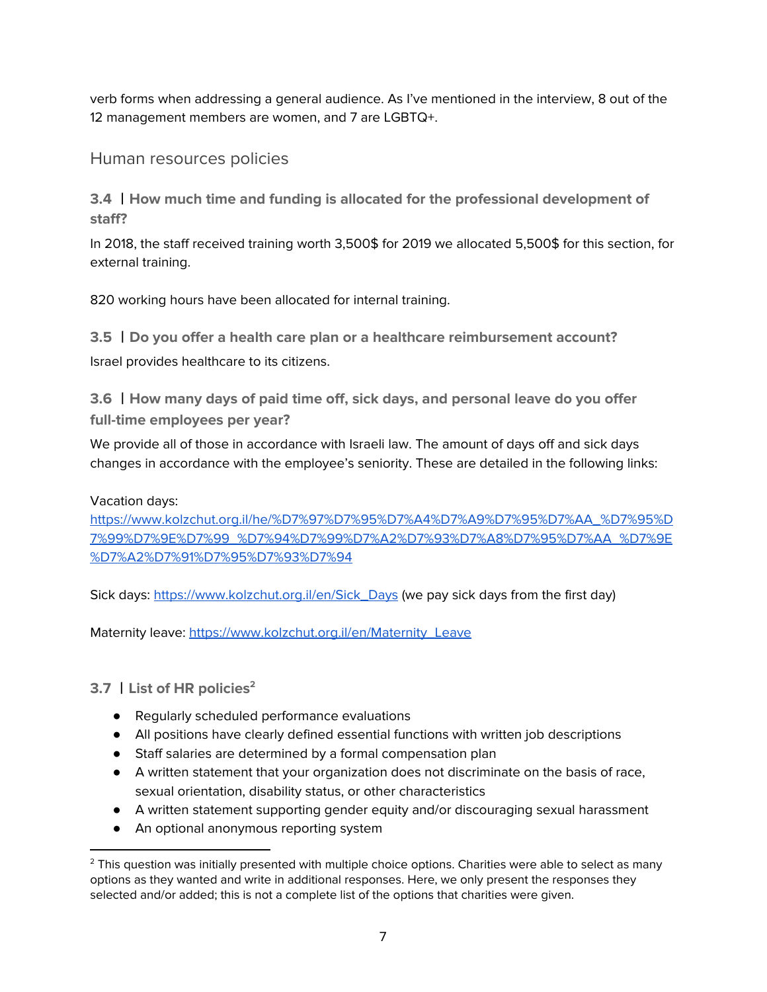verb forms when addressing a general audience. As I've mentioned in the interview, 8 out of the 12 management members are women, and 7 are LGBTQ+.

<span id="page-6-0"></span>Human resources policies

**3.4** 丨**How much time and funding is allocated for the professional development of staff?**

In 2018, the staff received training worth 3,500\$ for 2019 we allocated 5,500\$ for this section, for external training.

820 working hours have been allocated for internal training.

**3.5** 丨**Do you offer a health care plan or a healthcare reimbursement account?** Israel provides healthcare to its citizens.

**3.6** 丨**How many days of paid time off, sick days, and personal leave do you offer full-time employees per year?**

We provide all of those in accordance with Israeli law. The amount of days off and sick days changes in accordance with the employee's seniority. These are detailed in the following links:

### Vacation days:

[https://www.kolzchut.org.il/he/%D7%97%D7%95%D7%A4%D7%A9%D7%95%D7%AA\\_%D7%95%D](https://www.kolzchut.org.il/he/%D7%97%D7%95%D7%A4%D7%A9%D7%95%D7%AA_%D7%95%D7%99%D7%9E%D7%99_%D7%94%D7%99%D7%A2%D7%93%D7%A8%D7%95%D7%AA_%D7%9E%D7%A2%D7%91%D7%95%D7%93%D7%94) [7%99%D7%9E%D7%99\\_%D7%94%D7%99%D7%A2%D7%93%D7%A8%D7%95%D7%AA\\_%D7%9E](https://www.kolzchut.org.il/he/%D7%97%D7%95%D7%A4%D7%A9%D7%95%D7%AA_%D7%95%D7%99%D7%9E%D7%99_%D7%94%D7%99%D7%A2%D7%93%D7%A8%D7%95%D7%AA_%D7%9E%D7%A2%D7%91%D7%95%D7%93%D7%94) [%D7%A2%D7%91%D7%95%D7%93%D7%94](https://www.kolzchut.org.il/he/%D7%97%D7%95%D7%A4%D7%A9%D7%95%D7%AA_%D7%95%D7%99%D7%9E%D7%99_%D7%94%D7%99%D7%A2%D7%93%D7%A8%D7%95%D7%AA_%D7%9E%D7%A2%D7%91%D7%95%D7%93%D7%94)

Sick days: [https://www.kolzchut.org.il/en/Sick\\_Days](https://www.kolzchut.org.il/en/Sick_Days) (we pay sick days from the first day)

Maternity leave: [https://www.kolzchut.org.il/en/Maternity\\_Leave](https://www.kolzchut.org.il/en/Maternity_Leave)

**3.7** 丨**List of HR policies 2**

- Regularly scheduled performance evaluations
- All positions have clearly defined essential functions with written job descriptions
- Staff salaries are determined by a formal compensation plan
- A written statement that your organization does not discriminate on the basis of race, sexual orientation, disability status, or other characteristics
- A written statement supporting gender equity and/or discouraging sexual harassment
- An optional anonymous reporting system

<sup>&</sup>lt;sup>2</sup> This question was initially presented with multiple choice options. Charities were able to select as many options as they wanted and write in additional responses. Here, we only present the responses they selected and/or added; this is not a complete list of the options that charities were given.